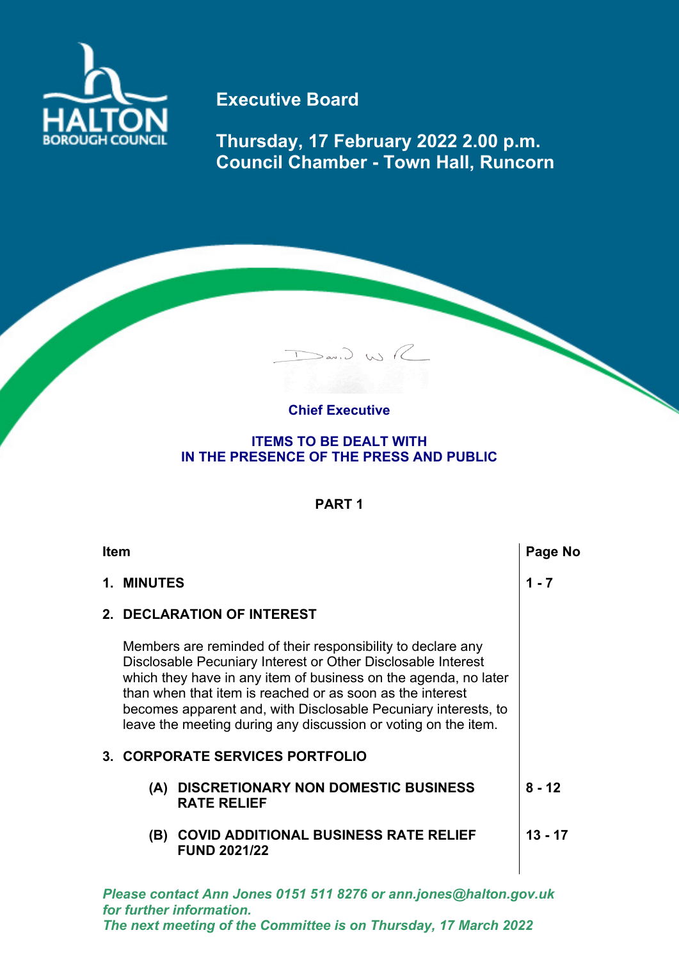

## **Executive Board**

**Thursday, 17 February 2022 2.00 p.m. Council Chamber - Town Hall, Runcorn**

## **Chief Executive**

Dav. J. WR

## **ITEMS TO BE DEALT WITH IN THE PRESENCE OF THE PRESS AND PUBLIC**

## **PART 1**

| <b>Item</b> |                                                                                                                                                                                                                                                                                                                                                                                                 |                                                                     | Page No   |
|-------------|-------------------------------------------------------------------------------------------------------------------------------------------------------------------------------------------------------------------------------------------------------------------------------------------------------------------------------------------------------------------------------------------------|---------------------------------------------------------------------|-----------|
|             | 1. MINUTES                                                                                                                                                                                                                                                                                                                                                                                      |                                                                     | $1 - 7$   |
|             |                                                                                                                                                                                                                                                                                                                                                                                                 | 2. DECLARATION OF INTEREST                                          |           |
|             | Members are reminded of their responsibility to declare any<br>Disclosable Pecuniary Interest or Other Disclosable Interest<br>which they have in any item of business on the agenda, no later<br>than when that item is reached or as soon as the interest<br>becomes apparent and, with Disclosable Pecuniary interests, to<br>leave the meeting during any discussion or voting on the item. |                                                                     |           |
|             |                                                                                                                                                                                                                                                                                                                                                                                                 | 3. CORPORATE SERVICES PORTFOLIO                                     |           |
|             | (A)                                                                                                                                                                                                                                                                                                                                                                                             | <b>DISCRETIONARY NON DOMESTIC BUSINESS</b><br><b>RATE RELIEF</b>    | $8 - 12$  |
|             | (B)                                                                                                                                                                                                                                                                                                                                                                                             | <b>COVID ADDITIONAL BUSINESS RATE RELIEF</b><br><b>FUND 2021/22</b> | $13 - 17$ |

*Please contact Ann Jones 0151 511 8276 or ann.jones@halton.gov.uk for further information. The next meeting of the Committee is on Thursday, 17 March 2022*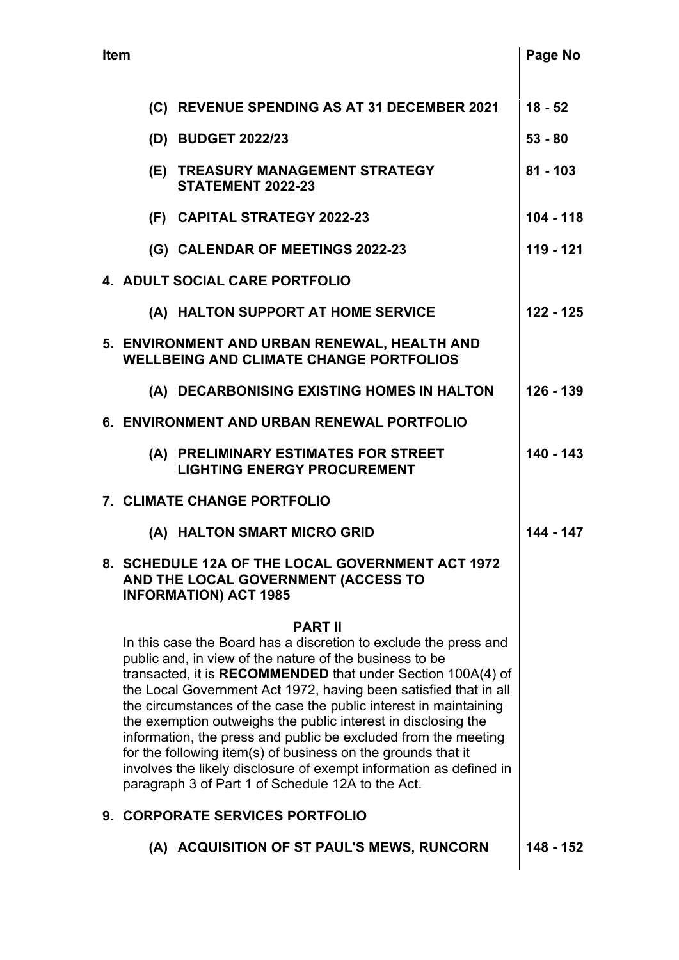| <b>Item</b>                    |                                                                                                                                                                                                                                                                                                                                                                                                                                                                                                                                                                                                                                                                                                                              |                                                                                                                         | Page No     |
|--------------------------------|------------------------------------------------------------------------------------------------------------------------------------------------------------------------------------------------------------------------------------------------------------------------------------------------------------------------------------------------------------------------------------------------------------------------------------------------------------------------------------------------------------------------------------------------------------------------------------------------------------------------------------------------------------------------------------------------------------------------------|-------------------------------------------------------------------------------------------------------------------------|-------------|
|                                |                                                                                                                                                                                                                                                                                                                                                                                                                                                                                                                                                                                                                                                                                                                              | (C) REVENUE SPENDING AS AT 31 DECEMBER 2021                                                                             | $18 - 52$   |
|                                |                                                                                                                                                                                                                                                                                                                                                                                                                                                                                                                                                                                                                                                                                                                              |                                                                                                                         | $53 - 80$   |
|                                |                                                                                                                                                                                                                                                                                                                                                                                                                                                                                                                                                                                                                                                                                                                              | (D) BUDGET 2022/23                                                                                                      |             |
|                                |                                                                                                                                                                                                                                                                                                                                                                                                                                                                                                                                                                                                                                                                                                                              | (E) TREASURY MANAGEMENT STRATEGY<br>STATEMENT 2022-23                                                                   | $81 - 103$  |
|                                |                                                                                                                                                                                                                                                                                                                                                                                                                                                                                                                                                                                                                                                                                                                              | (F) CAPITAL STRATEGY 2022-23                                                                                            | $104 - 118$ |
|                                |                                                                                                                                                                                                                                                                                                                                                                                                                                                                                                                                                                                                                                                                                                                              | (G) CALENDAR OF MEETINGS 2022-23                                                                                        | 119 - 121   |
| 4. ADULT SOCIAL CARE PORTFOLIO |                                                                                                                                                                                                                                                                                                                                                                                                                                                                                                                                                                                                                                                                                                                              |                                                                                                                         |             |
|                                |                                                                                                                                                                                                                                                                                                                                                                                                                                                                                                                                                                                                                                                                                                                              | (A) HALTON SUPPORT AT HOME SERVICE                                                                                      | $122 - 125$ |
|                                |                                                                                                                                                                                                                                                                                                                                                                                                                                                                                                                                                                                                                                                                                                                              | 5. ENVIRONMENT AND URBAN RENEWAL, HEALTH AND<br><b>WELLBEING AND CLIMATE CHANGE PORTFOLIOS</b>                          |             |
|                                |                                                                                                                                                                                                                                                                                                                                                                                                                                                                                                                                                                                                                                                                                                                              | (A) DECARBONISING EXISTING HOMES IN HALTON                                                                              | 126 - 139   |
|                                |                                                                                                                                                                                                                                                                                                                                                                                                                                                                                                                                                                                                                                                                                                                              | 6. ENVIRONMENT AND URBAN RENEWAL PORTFOLIO                                                                              |             |
|                                |                                                                                                                                                                                                                                                                                                                                                                                                                                                                                                                                                                                                                                                                                                                              | (A) PRELIMINARY ESTIMATES FOR STREET<br><b>LIGHTING ENERGY PROCUREMENT</b>                                              | $140 - 143$ |
|                                |                                                                                                                                                                                                                                                                                                                                                                                                                                                                                                                                                                                                                                                                                                                              | 7. CLIMATE CHANGE PORTFOLIO                                                                                             |             |
|                                |                                                                                                                                                                                                                                                                                                                                                                                                                                                                                                                                                                                                                                                                                                                              | (A) HALTON SMART MICRO GRID                                                                                             | 144 - 147   |
|                                |                                                                                                                                                                                                                                                                                                                                                                                                                                                                                                                                                                                                                                                                                                                              | 8. SCHEDULE 12A OF THE LOCAL GOVERNMENT ACT 1972<br>AND THE LOCAL GOVERNMENT (ACCESS TO<br><b>INFORMATION) ACT 1985</b> |             |
|                                | <b>PART II</b><br>In this case the Board has a discretion to exclude the press and<br>public and, in view of the nature of the business to be<br>transacted, it is <b>RECOMMENDED</b> that under Section 100A(4) of<br>the Local Government Act 1972, having been satisfied that in all<br>the circumstances of the case the public interest in maintaining<br>the exemption outweighs the public interest in disclosing the<br>information, the press and public be excluded from the meeting<br>for the following item(s) of business on the grounds that it<br>involves the likely disclosure of exempt information as defined in<br>paragraph 3 of Part 1 of Schedule 12A to the Act.<br>9. CORPORATE SERVICES PORTFOLIO |                                                                                                                         |             |
|                                |                                                                                                                                                                                                                                                                                                                                                                                                                                                                                                                                                                                                                                                                                                                              | (A) ACQUISITION OF ST PAUL'S MEWS, RUNCORN                                                                              | 148 - 152   |